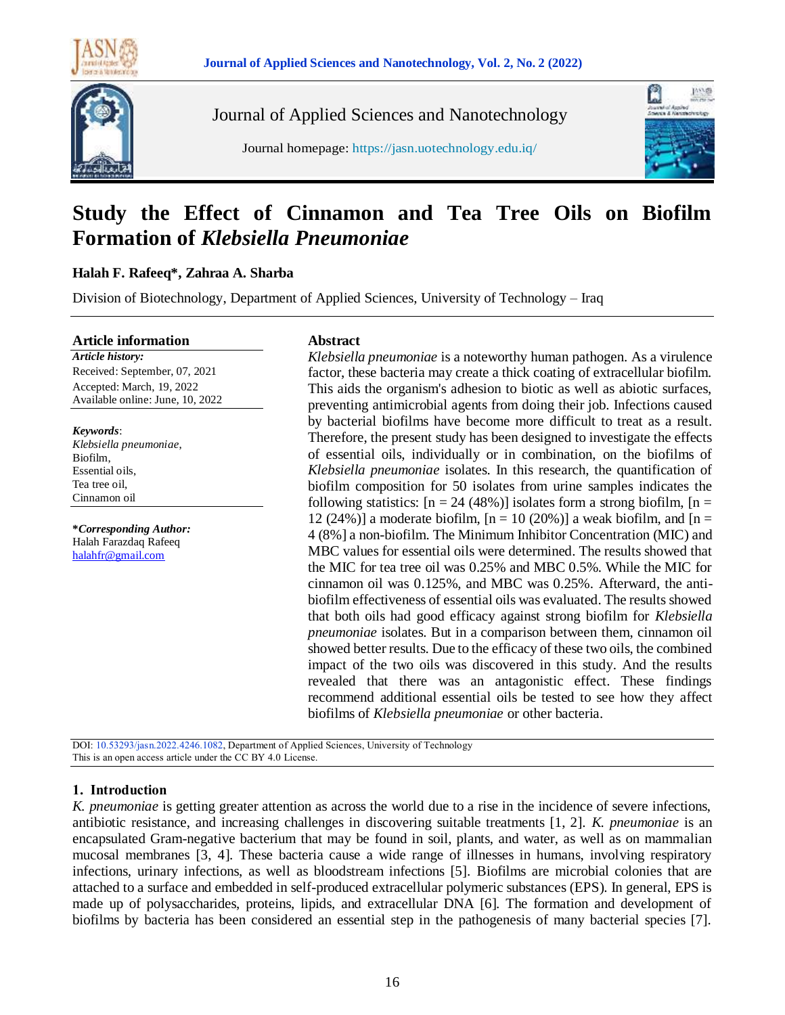



Journal of Applied Sciences and Nanotechnology

Journal homepage: https://jasn.uotechnology.edu.iq/



# **Study the Effect of Cinnamon and Tea Tree Oils on Biofilm Formation of** *Klebsiella Pneumoniae*

# **Halah F. Rafeeq\*, Zahraa A. Sharba**

Division of Biotechnology, Department of Applied Sciences, University of Technology – Iraq

**Article information**

*Article history:* Received: September, 07, 2021 Accepted: March, 19, 2022 Available online: June, 10, 2022

*Keywords*: *Klebsiella pneumoniae*, Biofilm, Essential oils, Tea tree oil, Cinnamon oil

**\****Corresponding Author:* Halah Farazdaq Rafeeq [halahfr@gmail.com](mailto:halahfr@gmail.com)

# **Abstract**

*Klebsiella pneumoniae* is a noteworthy human pathogen. As a virulence factor, these bacteria may create a thick coating of extracellular biofilm. This aids the organism's adhesion to biotic as well as abiotic surfaces, preventing antimicrobial agents from doing their job. Infections caused by bacterial biofilms have become more difficult to treat as a result. Therefore, the present study has been designed to investigate the effects of essential oils, individually or in combination, on the biofilms of *Klebsiella pneumoniae* isolates. In this research, the quantification of biofilm composition for 50 isolates from urine samples indicates the following statistics:  $[n = 24 (48%)]$  isolates form a strong biofilm,  $[n = 1]$ 12 (24%)] a moderate biofilm,  $[n = 10 (20%)]$  a weak biofilm, and  $[n = 12 (24%)]$ 4 (8%] a non-biofilm. The Minimum Inhibitor Concentration (MIC) and MBC values for essential oils were determined. The results showed that the MIC for tea tree oil was 0.25% and MBC 0.5%. While the MIC for cinnamon oil was 0.125%, and MBC was 0.25%. Afterward, the antibiofilm effectiveness of essential oils was evaluated. The results showed that both oils had good efficacy against strong biofilm for *Klebsiella pneumoniae* isolates. But in a comparison between them, cinnamon oil showed better results. Due to the efficacy of these two oils, the combined impact of the two oils was discovered in this study. And the results revealed that there was an antagonistic effect. These findings recommend additional essential oils be tested to see how they affect biofilms of *Klebsiella pneumoniae* or other bacteria.

DOI: 10.53293/jasn.2022.4246.1082, Department of Applied Sciences, University of Technology This is an open access article under the CC BY 4.0 License.

# **1. Introduction**

*K. pneumoniae* is getting greater attention as across the world due to a rise in the incidence of severe infections, antibiotic resistance, and increasing challenges in discovering suitable treatments [1, 2]. *K. pneumoniae* is an encapsulated Gram-negative bacterium that may be found in soil, plants, and water, as well as on mammalian mucosal membranes [3, 4]. These bacteria cause a wide range of illnesses in humans, involving respiratory infections, urinary infections, as well as bloodstream infections [5]. Biofilms are microbial colonies that are attached to a surface and embedded in self-produced extracellular polymeric substances (EPS). In general, EPS is made up of polysaccharides, proteins, lipids, and extracellular DNA [6]. The formation and development of biofilms by bacteria has been considered an essential step in the pathogenesis of many bacterial species [7].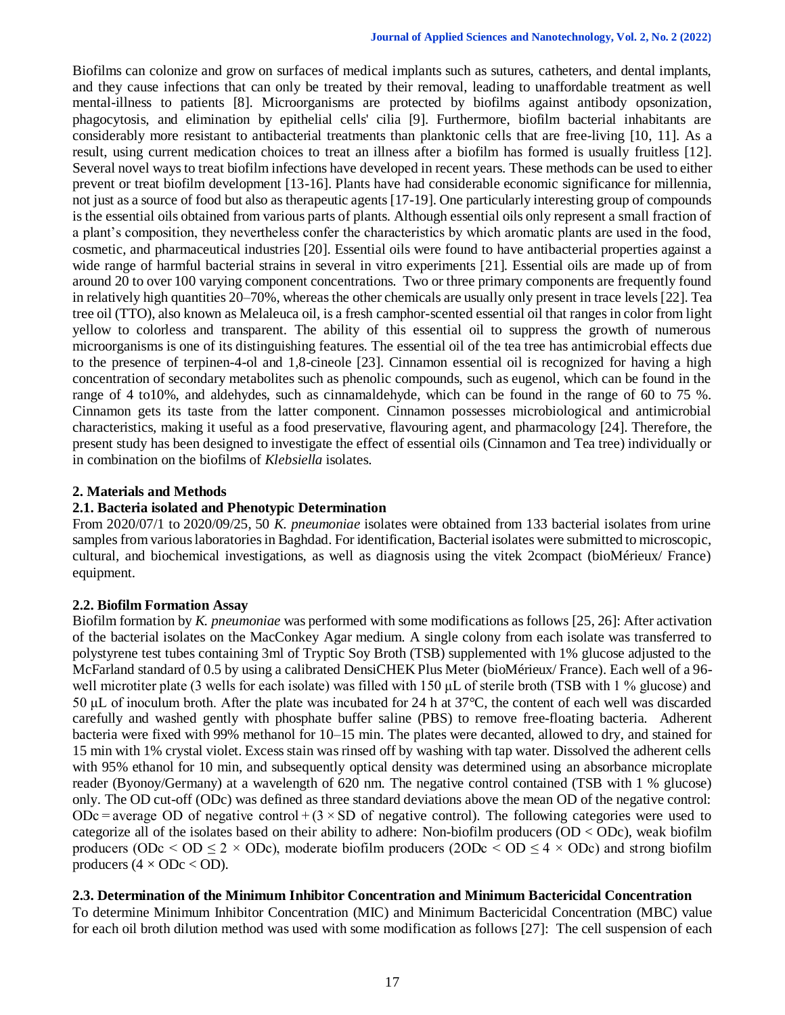Biofilms can colonize and grow on surfaces of medical implants such as sutures, catheters, and dental implants, and they cause infections that can only be treated by their removal, leading to unaffordable treatment as well mental-illness to patients [8]. Microorganisms are protected by biofilms against antibody opsonization, phagocytosis, and elimination by epithelial cells' cilia [9]. Furthermore, biofilm bacterial inhabitants are considerably more resistant to antibacterial treatments than planktonic cells that are free-living [10, 11]. As a result, using current medication choices to treat an illness after a biofilm has formed is usually fruitless [12]. Several novel ways to treat biofilm infections have developed in recent years. These methods can be used to either prevent or treat biofilm development [13-16]. Plants have had considerable economic significance for millennia, not just as a source of food but also as therapeutic agents [17-19]. One particularly interesting group of compounds isthe essential oils obtained from various parts of plants. Although essential oils only represent a small fraction of a plant's composition, they nevertheless confer the characteristics by which aromatic plants are used in the food, cosmetic, and pharmaceutical industries [20]. Essential oils were found to have antibacterial properties against a wide range of harmful bacterial strains in several in vitro experiments [21]. Essential oils are made up of from around 20 to over 100 varying component concentrations. Two or three primary components are frequently found in relatively high quantities 20–70%, whereas the other chemicals are usually only present in trace levels [22]. Tea tree oil (TTO), also known as Melaleuca oil, is a fresh camphor-scented essential oil that ranges in color from light yellow to colorless and transparent. The ability of this essential oil to suppress the growth of numerous microorganisms is one of its distinguishing features. The essential oil of the tea tree has antimicrobial effects due to the presence of terpinen-4-ol and 1,8-cineole [23]. Cinnamon essential oil is recognized for having a high concentration of secondary metabolites such as phenolic compounds, such as eugenol, which can be found in the range of 4 to10%, and aldehydes, such as cinnamaldehyde, which can be found in the range of 60 to 75 %. Cinnamon gets its taste from the latter component. Cinnamon possesses microbiological and antimicrobial characteristics, making it useful as a food preservative, flavouring agent, and pharmacology [24]. Therefore, the present study has been designed to investigate the effect of essential oils (Cinnamon and Tea tree) individually or in combination on the biofilms of *Klebsiella* isolates.

## **2. Materials and Methods**

## **2.1. Bacteria isolated and Phenotypic Determination**

From 2020/07/1 to 2020/09/25, 50 *K. pneumoniae* isolates were obtained from 133 bacterial isolates from urine samples from various laboratories in Baghdad. For identification, Bacterial isolates were submitted to microscopic, cultural, and biochemical investigations, as well as diagnosis using the vitek 2compact (bioMérieux/ France) equipment.

## **2.2. Biofilm Formation Assay**

Biofilm formation by *K. pneumoniae* was performed with some modifications as follows [25, 26]: After activation of the bacterial isolates on the MacConkey Agar medium. A single colony from each isolate was transferred to polystyrene test tubes containing 3ml of Tryptic Soy Broth (TSB) supplemented with 1% glucose adjusted to the McFarland standard of 0.5 by using a calibrated DensiCHEK Plus Meter (bioMérieux/ France). Each well of a 96 well microtiter plate (3 wells for each isolate) was filled with 150 μL of sterile broth (TSB with 1 % glucose) and 50 μL of inoculum broth. After the plate was incubated for 24 h at 37°C, the content of each well was discarded carefully and washed gently with phosphate buffer saline (PBS) to remove free-floating bacteria. Adherent bacteria were fixed with 99% methanol for 10–15 min. The plates were decanted, allowed to dry, and stained for 15 min with 1% crystal violet. Excess stain was rinsed off by washing with tap water. Dissolved the adherent cells with 95% ethanol for 10 min, and subsequently optical density was determined using an absorbance microplate reader (Byonoy/Germany) at a wavelength of 620 nm. The negative control contained (TSB with 1 % glucose) only. The OD cut-off (ODc) was defined as three standard deviations above the mean OD of the negative control: ODc = average OD of negative control  $+(3 \times SD)$  of negative control). The following categories were used to categorize all of the isolates based on their ability to adhere: Non-biofilm producers (OD < ODc), weak biofilm producers (ODc  $\le$  OD  $\le$  2  $\times$  ODc), moderate biofilm producers (2ODc  $\le$  OD  $\le$  4  $\times$  ODc) and strong biofilm producers  $(4 \times ODC < OD)$ .

## **2.3. Determination of the Minimum Inhibitor Concentration and Minimum Bactericidal Concentration**

To determine Minimum Inhibitor Concentration (MIC) and Minimum Bactericidal Concentration (MBC) value for each oil broth dilution method was used with some modification as follows [27]: The cell suspension of each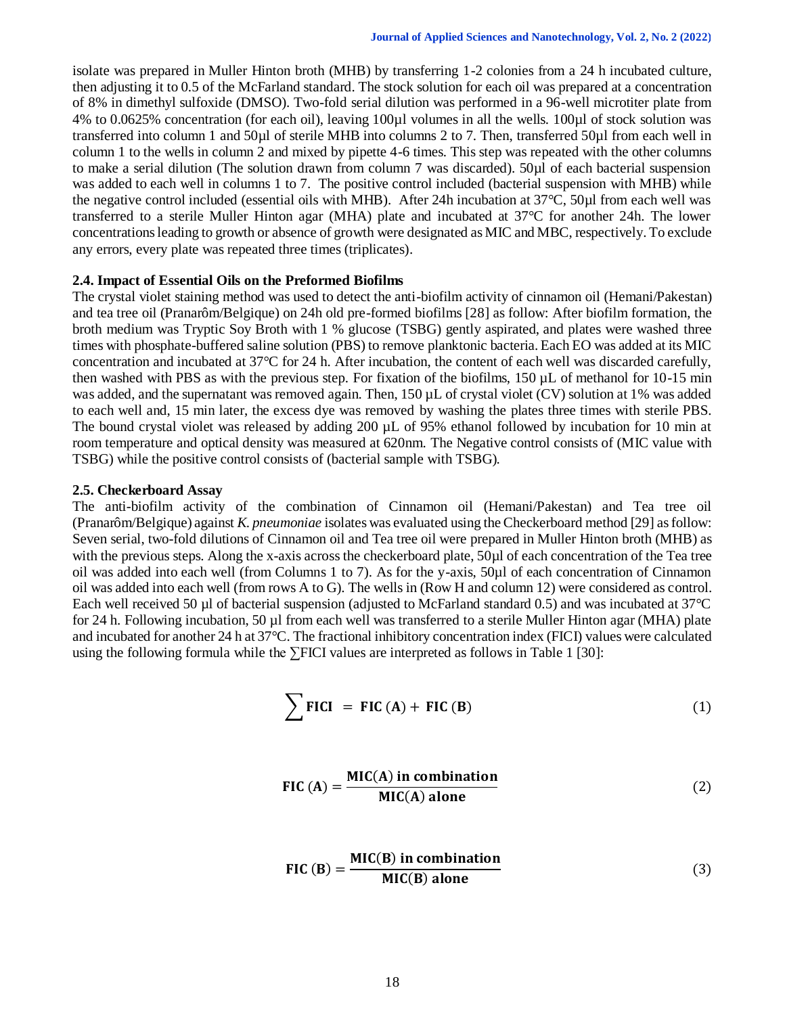isolate was prepared in Muller Hinton broth (MHB) by transferring 1-2 colonies from a 24 h incubated culture, then adjusting it to 0.5 of the McFarland standard. The stock solution for each oil was prepared at a concentration of 8% in dimethyl sulfoxide (DMSO). Two-fold serial dilution was performed in a 96-well microtiter plate from 4% to 0.0625% concentration (for each oil), leaving 100µl volumes in all the wells. 100µl of stock solution was transferred into column 1 and 50µl of sterile MHB into columns 2 to 7. Then, transferred 50µl from each well in column 1 to the wells in column 2 and mixed by pipette 4-6 times. This step was repeated with the other columns to make a serial dilution (The solution drawn from column 7 was discarded). 50µl of each bacterial suspension was added to each well in columns 1 to 7. The positive control included (bacterial suspension with MHB) while the negative control included (essential oils with MHB). After 24h incubation at 37°C, 50µl from each well was transferred to a sterile Muller Hinton agar (MHA) plate and incubated at 37°C for another 24h. The lower concentrations leading to growth or absence of growth were designated as MIC and MBC, respectively. To exclude any errors, every plate was repeated three times (triplicates).

#### **2.4. Impact of Essential Oils on the Preformed Biofilms**

The crystal violet staining method was used to detect the anti-biofilm activity of cinnamon oil (Hemani/Pakestan) and tea tree oil (Pranarôm/Belgique) on 24h old pre-formed biofilms [28] as follow: After biofilm formation, the broth medium was Tryptic Soy Broth with 1 % glucose (TSBG) gently aspirated, and plates were washed three times with phosphate-buffered saline solution (PBS) to remove planktonic bacteria. Each EO was added at its MIC concentration and incubated at 37°C for 24 h. After incubation, the content of each well was discarded carefully, then washed with PBS as with the previous step. For fixation of the biofilms, 150 µL of methanol for 10-15 min was added, and the supernatant was removed again. Then, 150 µL of crystal violet (CV) solution at 1% was added to each well and, 15 min later, the excess dye was removed by washing the plates three times with sterile PBS. The bound crystal violet was released by adding 200 µL of 95% ethanol followed by incubation for 10 min at room temperature and optical density was measured at 620nm. The Negative control consists of (MIC value with TSBG) while the positive control consists of (bacterial sample with TSBG).

#### **2.5. Checkerboard Assay**

The anti-biofilm activity of the combination of Cinnamon oil (Hemani/Pakestan) and Tea tree oil (Pranarôm/Belgique) against *K. pneumoniae* isolates was evaluated using the Checkerboard method [29] as follow: Seven serial, two-fold dilutions of Cinnamon oil and Tea tree oil were prepared in Muller Hinton broth (MHB) as with the previous steps. Along the x-axis across the checkerboard plate, 50 $\mu$ l of each concentration of the Tea tree oil was added into each well (from Columns 1 to 7). As for the y-axis, 50µl of each concentration of Cinnamon oil was added into each well (from rows A to G). The wells in (Row H and column 12) were considered as control. Each well received 50 µl of bacterial suspension (adjusted to McFarland standard 0.5) and was incubated at 37<sup>°</sup>C for 24 h. Following incubation, 50 µl from each well was transferred to a sterile Muller Hinton agar (MHA) plate and incubated for another 24 h at 37°C. The fractional inhibitory concentration index (FICI) values were calculated using the following formula while the ∑FICI values are interpreted as follows in Table 1 [30]:

$$
\sum \text{FICI} = \text{FIC (A)} + \text{FIC (B)} \tag{1}
$$

$$
FIC (A) = \frac{MIC(A) \text{ in combination}}{MIC(A) \text{ alone}}
$$
 (2)

$$
FIC(B) = \frac{MIC(B) \text{ in combination}}{MIC(B) \text{ alone}}
$$
 (3)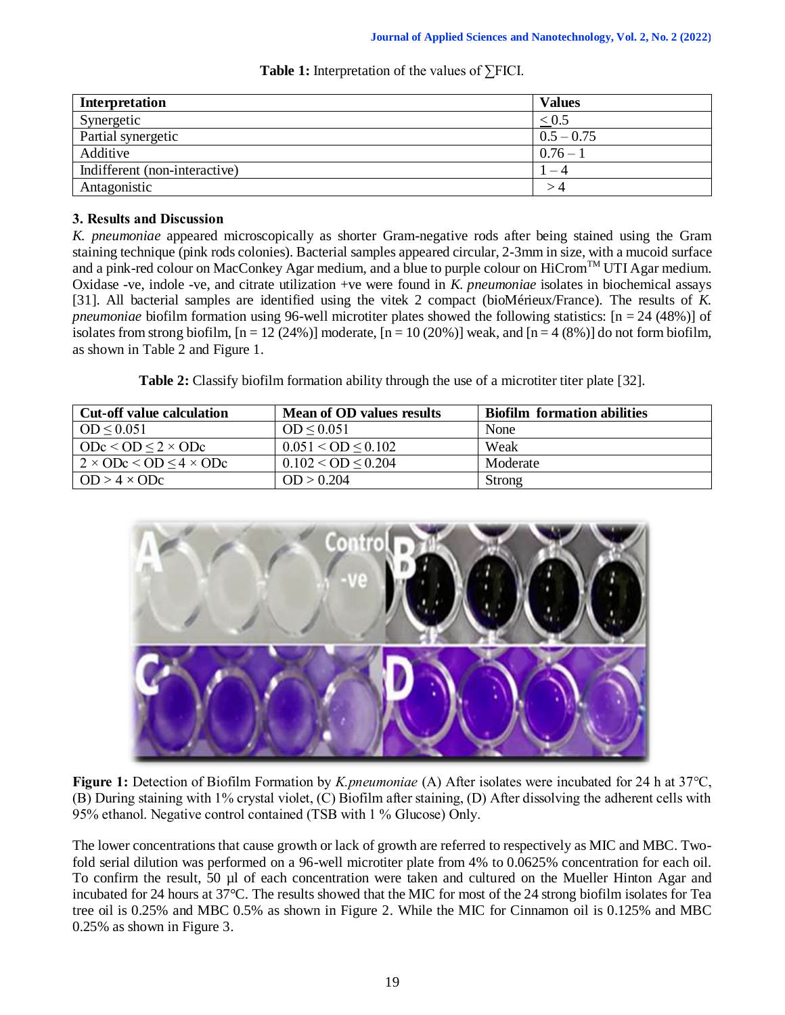| Interpretation                | <b>Values</b> |
|-------------------------------|---------------|
| Synergetic                    | < 0.5         |
| Partial synergetic            | $0.5 - 0.75$  |
| Additive                      | $0.76 - 1$    |
| Indifferent (non-interactive) | - 4           |
| Antagonistic                  | >4            |

# **Table 1:** Interpretation of the values of ∑FICI.

# **3. Results and Discussion**

*K. pneumoniae* appeared microscopically as shorter Gram-negative rods after being stained using the Gram staining technique (pink rods colonies). Bacterial samples appeared circular, 2-3mm in size, with a mucoid surface and a pink-red colour on MacConkey Agar medium, and a blue to purple colour on HiCrom<sup>TM</sup> UTI Agar medium. Oxidase -ve, indole -ve, and citrate utilization +ve were found in *K. pneumoniae* isolates in biochemical assays [31]. All bacterial samples are identified using the vitek 2 compact (bioMérieux/France). The results of *K. pneumoniae* biofilm formation using 96-well microtiter plates showed the following statistics: [n = 24 (48%)] of isolates from strong biofilm,  $[n = 12 (24%)]$  moderate,  $[n = 10 (20%)]$  weak, and  $[n = 4 (8%)]$  do not form biofilm, as shown in Table 2 and Figure 1.

**Table 2:** Classify biofilm formation ability through the use of a microtiter titer plate [32].

| <b>Cut-off value calculation</b>         | Mean of OD values results | <b>Biofilm formation abilities</b> |
|------------------------------------------|---------------------------|------------------------------------|
| $OD \leq 0.051$                          | $OD \leq 0.051$           | None                               |
| $\vert$ ODc < OD $\leq$ 2 $\times$ ODc   | $0.051 <$ OD $\leq 0.102$ | Weak                               |
| $2 \times ODe \leq OD \leq 4 \times ODe$ | $0.102 <$ OD $\leq$ 0.204 | Moderate                           |
| $OD > 4 \times ODC$                      | OD > 0.204                | <b>Strong</b>                      |



**Figure 1:** Detection of Biofilm Formation by *K.pneumoniae* (A) After isolates were incubated for 24 h at 37°C, (B) During staining with 1% crystal violet, (C) Biofilm after staining, (D) After dissolving the adherent cells with 95% ethanol. Negative control contained (TSB with 1 % Glucose) Only.

The lower concentrations that cause growth or lack of growth are referred to respectively as MIC and MBC. Twofold serial dilution was performed on a 96-well microtiter plate from 4% to 0.0625% concentration for each oil. To confirm the result, 50 µl of each concentration were taken and cultured on the Mueller Hinton Agar and incubated for 24 hours at 37°C. The results showed that the MIC for most of the 24 strong biofilm isolates for Tea tree oil is 0.25% and MBC 0.5% as shown in Figure 2. While the MIC for Cinnamon oil is 0.125% and MBC 0.25% as shown in Figure 3.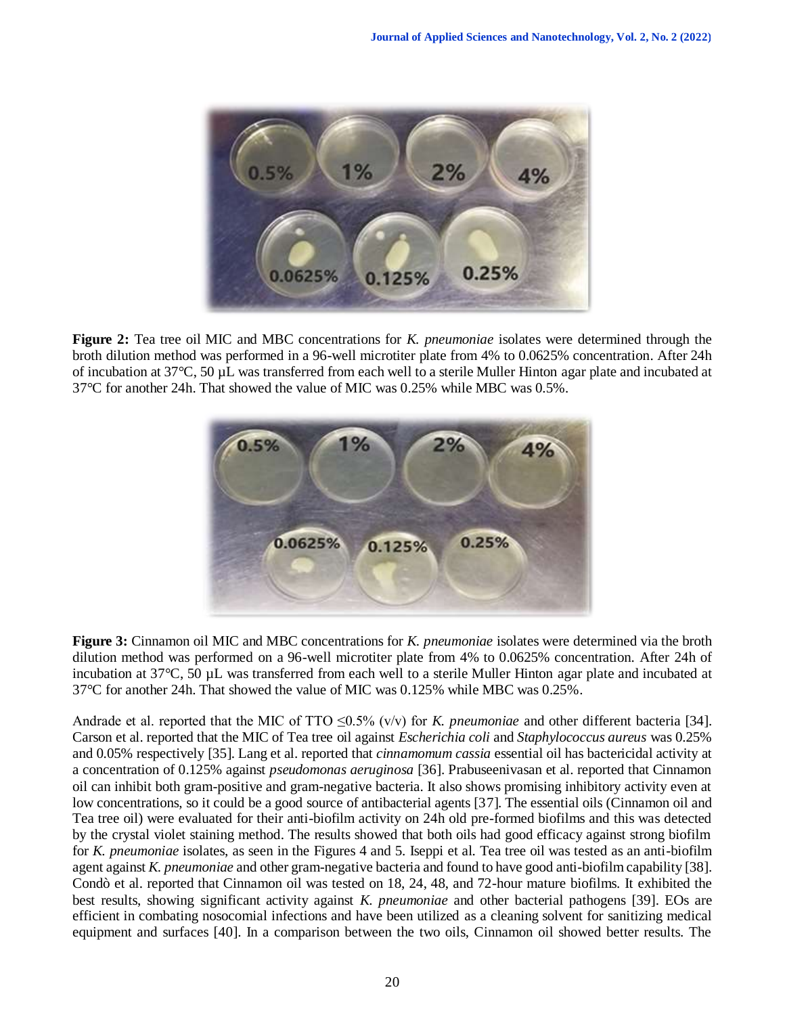

**Figure 2:** Tea tree oil MIC and MBC concentrations for *K. pneumoniae* isolates were determined through the broth dilution method was performed in a 96-well microtiter plate from 4% to 0.0625% concentration. After 24h of incubation at 37°C, 50 µL was transferred from each well to a sterile Muller Hinton agar plate and incubated at 37°C for another 24h. That showed the value of MIC was 0.25% while MBC was 0.5%*.*



**Figure 3:** Cinnamon oil MIC and MBC concentrations for *K. pneumoniae* isolates were determined via the broth dilution method was performed on a 96-well microtiter plate from 4% to 0.0625% concentration. After 24h of incubation at 37°C, 50 µL was transferred from each well to a sterile Muller Hinton agar plate and incubated at 37°C for another 24h. That showed the value of MIC was 0.125% while MBC was 0.25%*.*

Andrade et al. reported that the MIC of TTO ≤0.5% (v/v) for *K. pneumoniae* and other different bacteria [34]. Carson et al. reported that the MIC of Tea tree oil against *Escherichia coli* and *Staphylococcus aureus* was 0.25% and 0.05% respectively [35]. Lang et al. reported that *cinnamomum cassia* essential oil has bactericidal activity at a concentration of 0.125% against *pseudomonas aeruginosa* [36]. Prabuseenivasan et al. reported that Cinnamon oil can inhibit both gram-positive and gram-negative bacteria. It also shows promising inhibitory activity even at low concentrations, so it could be a good source of antibacterial agents [37]. The essential oils (Cinnamon oil and Tea tree oil) were evaluated for their anti-biofilm activity on 24h old pre-formed biofilms and this was detected by the crystal violet staining method. The results showed that both oils had good efficacy against strong biofilm for *K. pneumoniae* isolates, as seen in the Figures 4 and 5. Iseppi et al. Tea tree oil was tested as an anti-biofilm agent against *K. pneumoniae* and other gram-negative bacteria and found to have good anti-biofilm capability [38]. Condò et al. reported that Cinnamon oil was tested on 18, 24, 48, and 72-hour mature biofilms. It exhibited the best results, showing significant activity against *K. pneumoniae* and other bacterial pathogens [39]. EOs are efficient in combating nosocomial infections and have been utilized as a cleaning solvent for sanitizing medical equipment and surfaces [40]. In a comparison between the two oils, Cinnamon oil showed better results. The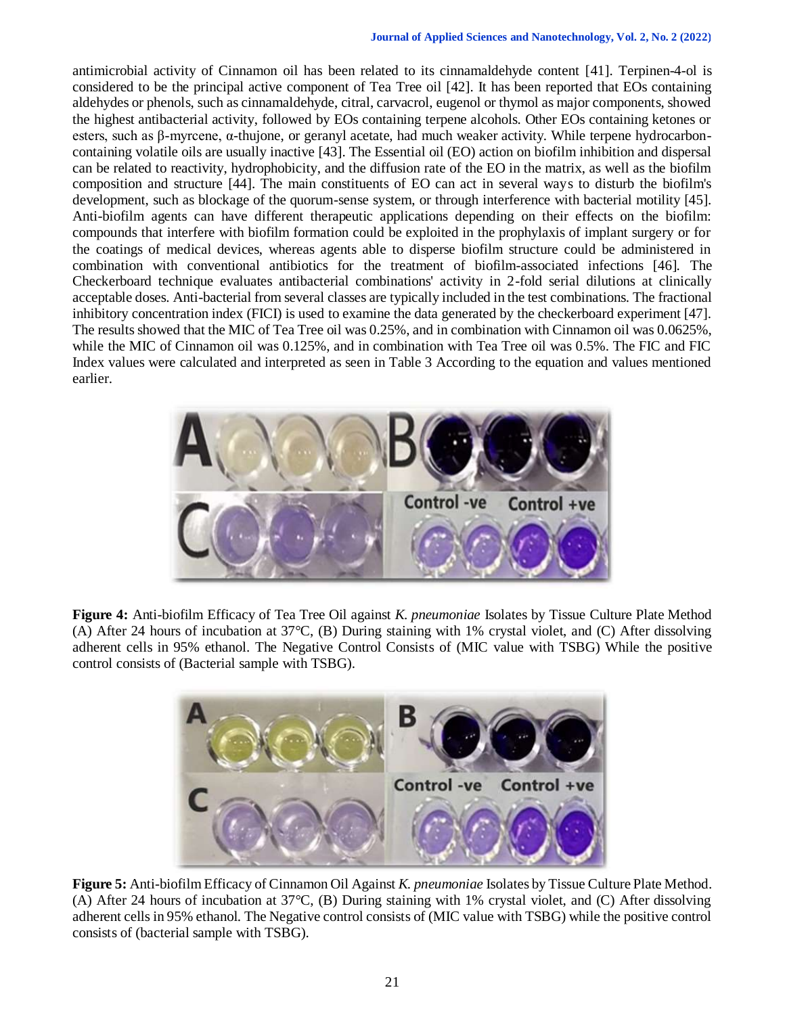antimicrobial activity of Cinnamon oil has been related to its cinnamaldehyde content [41]. Terpinen-4-ol is considered to be the principal active component of Tea Tree oil [42]. It has been reported that EOs containing aldehydes or phenols, such as cinnamaldehyde, citral, carvacrol, eugenol or thymol as major components, showed the highest antibacterial activity, followed by EOs containing terpene alcohols. Other EOs containing ketones or esters, such as β-myrcene, α-thujone, or geranyl acetate, had much weaker activity. While terpene hydrocarboncontaining volatile oils are usually inactive [43]. The Essential oil (EO) action on biofilm inhibition and dispersal can be related to reactivity, hydrophobicity, and the diffusion rate of the EO in the matrix, as well as the biofilm composition and structure [44]. The main constituents of EO can act in several ways to disturb the biofilm's development, such as blockage of the quorum-sense system, or through interference with bacterial motility [45]. Anti-biofilm agents can have different therapeutic applications depending on their effects on the biofilm: compounds that interfere with biofilm formation could be exploited in the prophylaxis of implant surgery or for the coatings of medical devices, whereas agents able to disperse biofilm structure could be administered in combination with conventional antibiotics for the treatment of biofilm-associated infections [46]. The Checkerboard technique evaluates antibacterial combinations' activity in 2-fold serial dilutions at clinically acceptable doses. Anti-bacterial from several classes are typically included in the test combinations. The fractional inhibitory concentration index (FICI) is used to examine the data generated by the checkerboard experiment [47]. The results showed that the MIC of Tea Tree oil was 0.25%, and in combination with Cinnamon oil was 0.0625%, while the MIC of Cinnamon oil was  $0.125\%$ , and in combination with Tea Tree oil was  $0.5\%$ . The FIC and FIC Index values were calculated and interpreted as seen in Table 3 According to the equation and values mentioned earlier.



**Figure 4:** Anti-biofilm Efficacy of Tea Tree Oil against *K. pneumoniae* Isolates by Tissue Culture Plate Method (A) After 24 hours of incubation at 37°C, (B) During staining with 1% crystal violet, and (C) After dissolving adherent cells in 95% ethanol. The Negative Control Consists of (MIC value with TSBG) While the positive control consists of (Bacterial sample with TSBG).



**Figure 5:** Anti-biofilm Efficacy of Cinnamon Oil Against *K. pneumoniae* Isolates by Tissue Culture Plate Method. (A) After 24 hours of incubation at 37°C, (B) During staining with 1% crystal violet, and (C) After dissolving adherent cells in 95% ethanol. The Negative control consists of (MIC value with TSBG) while the positive control consists of (bacterial sample with TSBG).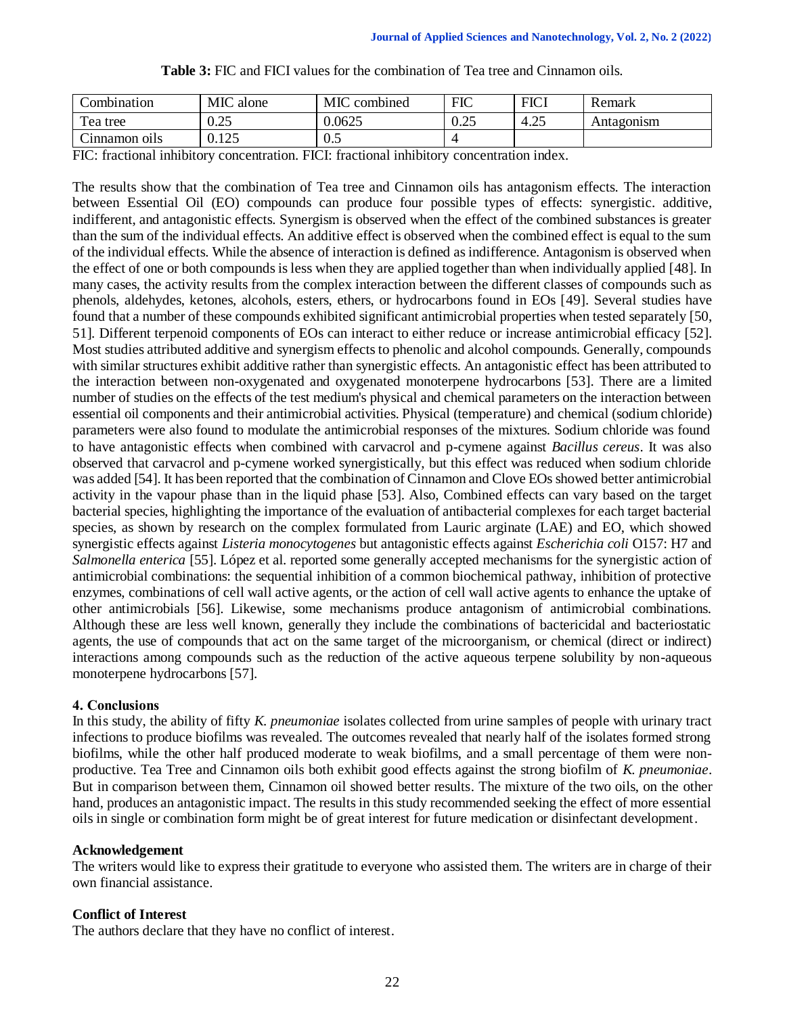| Combination               | MIC<br>alone | MIC<br>: combined | <b>FIC</b>           | <b>FICI</b>            | Remark     |
|---------------------------|--------------|-------------------|----------------------|------------------------|------------|
| $\mathbf{r}$<br>l'ea tree | 0.25         | 0.0625            | $\Omega$<br>$v \sim$ | $\cap \subset$<br>4.4. | Antagonism |
| Annamon oils              | 0.125        | 0.5               |                      |                        |            |

| <b>Table 3:</b> FIC and FICI values for the combination of Tea tree and Cinnamon oils. |  |  |
|----------------------------------------------------------------------------------------|--|--|
|----------------------------------------------------------------------------------------|--|--|

FIC: fractional inhibitory concentration. FICI: fractional inhibitory concentration index.

The results show that the combination of Tea tree and Cinnamon oils has antagonism effects. The interaction between Essential Oil (EO) compounds can produce four possible types of effects: synergistic. additive, indifferent, and antagonistic effects. Synergism is observed when the effect of the combined substances is greater than the sum of the individual effects. An additive effect is observed when the combined effect is equal to the sum of the individual effects. While the absence of interaction is defined as indifference. Antagonism is observed when the effect of one or both compounds is less when they are applied together than when individually applied [48]. In many cases, the activity results from the complex interaction between the different classes of compounds such as phenols, aldehydes, ketones, alcohols, esters, ethers, or hydrocarbons found in EOs [49]. Several studies have found that a number of these compounds exhibited significant antimicrobial properties when tested separately [50, 51]. Different terpenoid components of EOs can interact to either reduce or increase antimicrobial efficacy [52]. Most studies attributed additive and synergism effects to phenolic and alcohol compounds. Generally, compounds with similar structures exhibit additive rather than synergistic effects. An antagonistic effect has been attributed to the interaction between non-oxygenated and oxygenated monoterpene hydrocarbons [53]. There are a limited number of studies on the effects of the test medium's physical and chemical parameters on the interaction between essential oil components and their antimicrobial activities. Physical (temperature) and chemical (sodium chloride) parameters were also found to modulate the antimicrobial responses of the mixtures. Sodium chloride was found to have antagonistic effects when combined with carvacrol and p-cymene against *Bacillus cereus*. It was also observed that carvacrol and p-cymene worked synergistically, but this effect was reduced when sodium chloride was added [54]. It has been reported that the combination of Cinnamon and Clove EOs showed better antimicrobial activity in the vapour phase than in the liquid phase [53]. Also, Combined effects can vary based on the target bacterial species, highlighting the importance of the evaluation of antibacterial complexes for each target bacterial species, as shown by research on the complex formulated from Lauric arginate (LAE) and EO, which showed synergistic effects against *Listeria monocytogenes* but antagonistic effects against *Escherichia coli* O157: H7 and *Salmonella enterica* [55]. López et al. reported some generally accepted mechanisms for the synergistic action of antimicrobial combinations: the sequential inhibition of a common biochemical pathway, inhibition of protective enzymes, combinations of cell wall active agents, or the action of cell wall active agents to enhance the uptake of other antimicrobials [56]. Likewise, some mechanisms produce antagonism of antimicrobial combinations. Although these are less well known, generally they include the combinations of bactericidal and bacteriostatic agents, the use of compounds that act on the same target of the microorganism, or chemical (direct or indirect) interactions among compounds such as the reduction of the active aqueous terpene solubility by non-aqueous monoterpene hydrocarbons [57].

# **4. Conclusions**

In this study, the ability of fifty *K. pneumoniae* isolates collected from urine samples of people with urinary tract infections to produce biofilms was revealed. The outcomes revealed that nearly half of the isolates formed strong biofilms, while the other half produced moderate to weak biofilms, and a small percentage of them were nonproductive. Tea Tree and Cinnamon oils both exhibit good effects against the strong biofilm of *K. pneumoniae*. But in comparison between them, Cinnamon oil showed better results. The mixture of the two oils, on the other hand, produces an antagonistic impact. The results in this study recommended seeking the effect of more essential oils in single or combination form might be of great interest for future medication or disinfectant development.

## **Acknowledgement**

The writers would like to express their gratitude to everyone who assisted them. The writers are in charge of their own financial assistance.

# **Conflict of Interest**

The authors declare that they have no conflict of interest.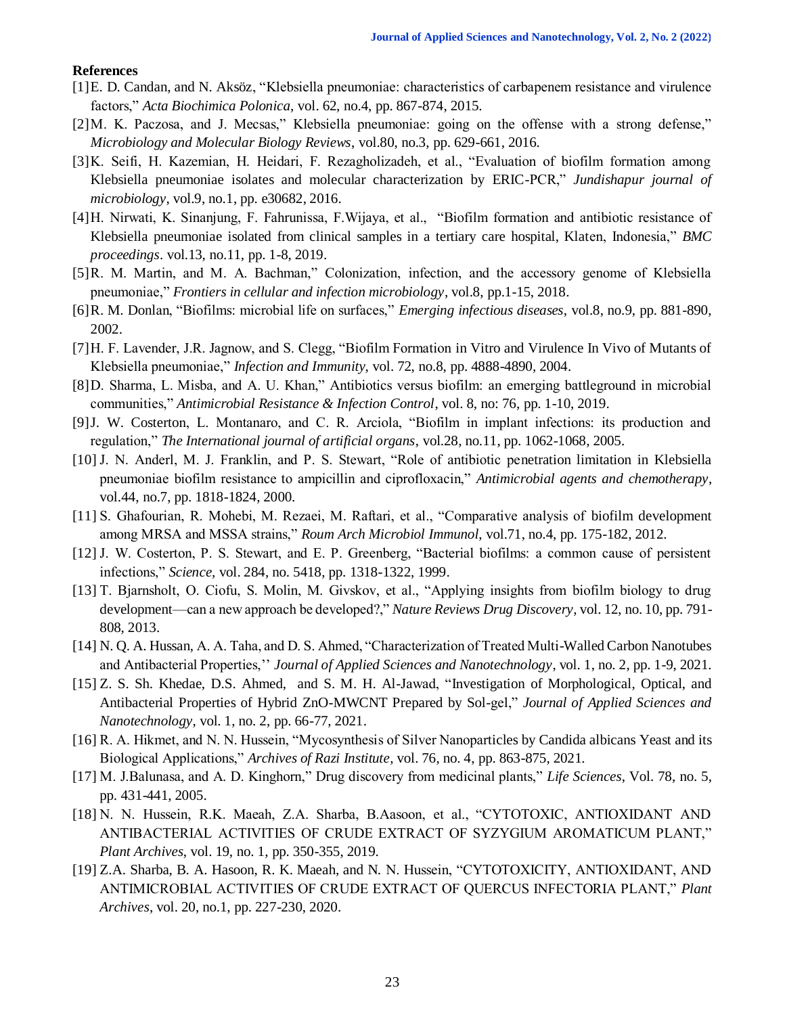## **References**

- [1]E. D. Candan, and N. Aksöz, "Klebsiella pneumoniae: characteristics of carbapenem resistance and virulence factors," *Acta Biochimica Polonica*, vol. 62, no.4, pp. 867-874, 2015.
- [2]M. K. Paczosa, and J. Mecsas," Klebsiella pneumoniae: going on the offense with a strong defense," *Microbiology and Molecular Biology Reviews*, vol.80, no.3, pp. 629-661, 2016.
- [3]K. Seifi, H. Kazemian, H. Heidari, F. Rezagholizadeh, et al., "Evaluation of biofilm formation among Klebsiella pneumoniae isolates and molecular characterization by ERIC-PCR," *Jundishapur journal of microbiology*, vol.9, no.1, pp. e30682, 2016.
- [4]H. Nirwati, K. Sinanjung, F. Fahrunissa, F.Wijaya, et al., "Biofilm formation and antibiotic resistance of Klebsiella pneumoniae isolated from clinical samples in a tertiary care hospital, Klaten, Indonesia," *BMC proceedings*. vol.13, no.11, pp. 1-8, 2019.
- [5]R. M. Martin, and M. A. Bachman," Colonization, infection, and the accessory genome of Klebsiella pneumoniae," *Frontiers in cellular and infection microbiology*, vol.8, pp.1-15, 2018.
- [6]R. M. Donlan, "Biofilms: microbial life on surfaces," *Emerging infectious diseases*, vol.8, no.9, pp. 881-890, 2002.
- [7]H. F. Lavender, J.R. Jagnow, and S. Clegg, "Biofilm Formation in Vitro and Virulence In Vivo of Mutants of Klebsiella pneumoniae," *Infection and Immunity*, vol. 72, no.8, pp. 4888-4890, 2004.
- [8]D. Sharma, L. Misba, and A. U. Khan," Antibiotics versus biofilm: an emerging battleground in microbial communities," *Antimicrobial Resistance & Infection Control*, vol. 8, no: 76, pp. 1-10, 2019.
- [9]J. W. Costerton, L. Montanaro, and C. R. Arciola, "Biofilm in implant infections: its production and regulation," *The International journal of artificial organs*, vol.28, no.11, pp. 1062-1068, 2005.
- [10] J. N. Anderl, M. J. Franklin, and P. S. Stewart, "Role of antibiotic penetration limitation in Klebsiella pneumoniae biofilm resistance to ampicillin and ciprofloxacin," *Antimicrobial agents and chemotherapy*, vol.44, no.7, pp. 1818-1824, 2000.
- [11] S. Ghafourian, R. Mohebi, M. Rezaei, M. Raftari, et al., "Comparative analysis of biofilm development among MRSA and MSSA strains," *Roum Arch Microbiol Immunol*, vol.71, no.4, pp. 175-182, 2012.
- [12] J. W. Costerton, P. S. Stewart, and E. P. Greenberg, "Bacterial biofilms: a common cause of persistent infections," *Science*, vol. 284, no. 5418, pp. 1318-1322, 1999.
- [13] T. Bjarnsholt, O. Ciofu, S. Molin, M. Givskov, et al., "Applying insights from biofilm biology to drug development—can a new approach be developed?," *Nature Reviews Drug Discovery*, vol. 12, no. 10, pp. 791- 808, 2013.
- [14] N. Q. A. Hussan, A. A. Taha, and D. S. Ahmed, "Characterization of Treated Multi-Walled Carbon Nanotubes and Antibacterial Properties,'' *Journal of Applied Sciences and Nanotechnology*, vol. 1, no. 2, pp. 1-9, 2021.
- [15] Z. S. Sh. Khedae, D.S. Ahmed, and S. M. H. Al-Jawad, "Investigation of Morphological, Optical, and Antibacterial Properties of Hybrid ZnO-MWCNT Prepared by Sol-gel," *Journal of Applied Sciences and Nanotechnology*, vol. 1, no. 2, pp. 66-77, 2021.
- [16] R. A. Hikmet, and N. N. Hussein, "Mycosynthesis of Silver Nanoparticles by Candida albicans Yeast and its Biological Applications," *Archives of Razi Institute*, vol. 76, no. 4, pp. 863-875, 2021.
- [17] M. J.Balunasa, and A. D. Kinghorn," Drug discovery from medicinal plants," *Life Sciences*, Vol. 78, no. 5, pp. 431-441, 2005.
- [18] N. N. Hussein, R.K. Maeah, Z.A. Sharba, B.Aasoon, et al., "CYTOTOXIC, ANTIOXIDANT AND ANTIBACTERIAL ACTIVITIES OF CRUDE EXTRACT OF SYZYGIUM AROMATICUM PLANT," *Plant Archives*, vol. 19, no. 1, pp. 350-355, 2019.
- [19] Z.A. Sharba, B. A. Hasoon, R. K. Maeah, and N. N. Hussein, "CYTOTOXICITY, ANTIOXIDANT, AND ANTIMICROBIAL ACTIVITIES OF CRUDE EXTRACT OF QUERCUS INFECTORIA PLANT," *Plant Archives*, vol. 20, no.1, pp. 227-230, 2020.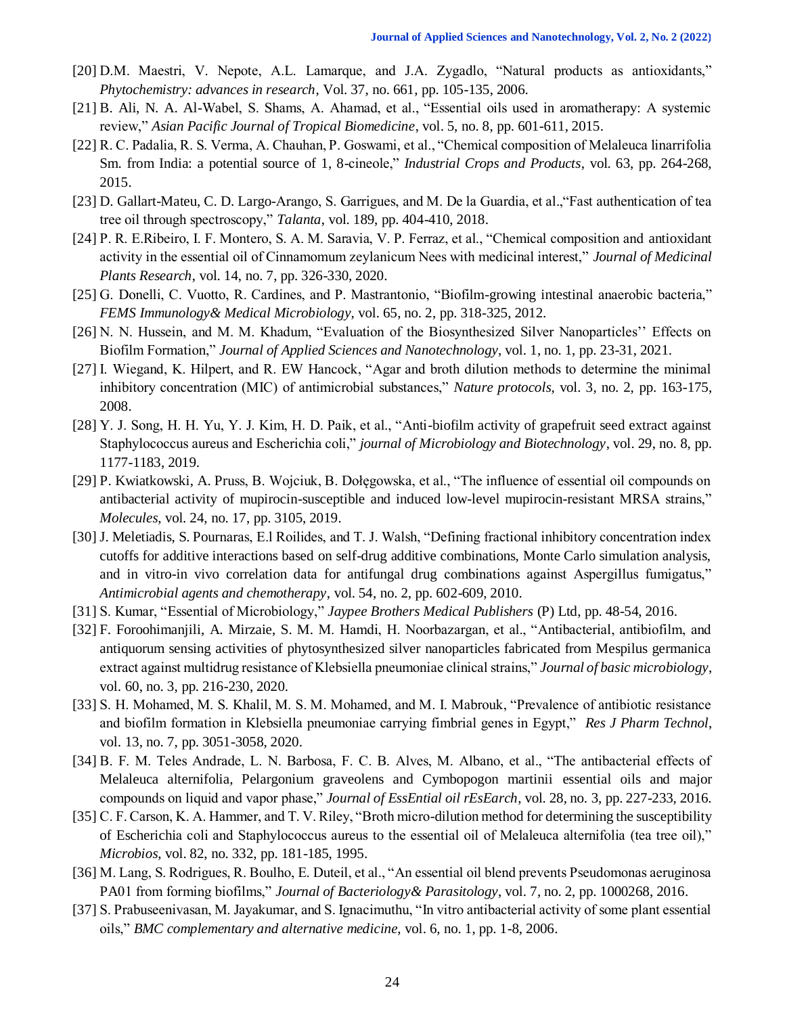- [20] D.M. Maestri, V. Nepote, A.L. Lamarque, and J.A. Zygadlo, "Natural products as antioxidants," *Phytochemistry: advances in research*, Vol. 37, no. 661, pp. 105-135, 2006.
- [21] B. Ali, N. A. Al-Wabel, S. Shams, A. Ahamad, et al., "Essential oils used in aromatherapy: A systemic review," *Asian Pacific Journal of Tropical Biomedicine*, vol. 5, no. 8, pp. 601-611, 2015.
- [22] R. C. Padalia, R. S. Verma, A. Chauhan, P. Goswami, et al., "Chemical composition of Melaleuca linarrifolia Sm. from India: a potential source of 1, 8-cineole," *Industrial Crops and Products*, vol. 63, pp. 264-268, 2015.
- [23] D. Gallart-Mateu, C. D. Largo-Arango, S. Garrigues, and M. De la Guardia, et al.,"Fast authentication of tea tree oil through spectroscopy," *Talanta*, vol. 189, pp. 404-410, 2018.
- [24] P. R. E.Ribeiro, I. F. Montero, S. A. M. Saravia, V. P. Ferraz, et al., "Chemical composition and antioxidant activity in the essential oil of Cinnamomum zeylanicum Nees with medicinal interest," *Journal of Medicinal Plants Research*, vol. 14, no. 7, pp. 326-330, 2020.
- [25] G. Donelli, C. Vuotto, R. Cardines, and P. Mastrantonio, "Biofilm-growing intestinal anaerobic bacteria," *FEMS Immunology& Medical Microbiology*, vol. 65, no. 2, pp. 318-325, 2012.
- [26] N. N. Hussein, and M. M. Khadum, "Evaluation of the Biosynthesized Silver Nanoparticles'' Effects on Biofilm Formation," *Journal of Applied Sciences and Nanotechnology*, vol. 1, no. 1, pp. 23-31, 2021.
- [27] I. Wiegand, K. Hilpert, and R. EW Hancock, "Agar and broth dilution methods to determine the minimal inhibitory concentration (MIC) of antimicrobial substances," *Nature protocols*, vol. 3, no. 2, pp. 163-175, 2008.
- [28] Y. J. Song, H. H. Yu, Y. J. Kim, H. D. Paik, et al., "Anti-biofilm activity of grapefruit seed extract against Staphylococcus aureus and Escherichia coli," *journal of Microbiology and Biotechnology*, vol. 29, no. 8, pp. 1177-1183, 2019.
- [29] P. Kwiatkowski, A. Pruss, B. Wojciuk, B. Dołęgowska, et al., "The influence of essential oil compounds on antibacterial activity of mupirocin-susceptible and induced low-level mupirocin-resistant MRSA strains," *Molecules*, vol. 24, no. 17, pp. 3105, 2019.
- [30] J. Meletiadis, S. Pournaras, E.l Roilides, and T. J. Walsh, "Defining fractional inhibitory concentration index cutoffs for additive interactions based on self-drug additive combinations, Monte Carlo simulation analysis, and in vitro-in vivo correlation data for antifungal drug combinations against Aspergillus fumigatus," *Antimicrobial agents and chemotherapy*, vol. 54, no. 2, pp. 602-609, 2010.
- [31] S. Kumar, "Essential of Microbiology," *Jaypee Brothers Medical Publishers* (P) Ltd, pp. 48-54, 2016.
- [32] F. Foroohimanjili, A. Mirzaie, S. M. M. Hamdi, H. Noorbazargan, et al., "Antibacterial, antibiofilm, and antiquorum sensing activities of phytosynthesized silver nanoparticles fabricated from Mespilus germanica extract against multidrug resistance of Klebsiella pneumoniae clinical strains," *Journal of basic microbiology*, vol. 60, no. 3, pp. 216-230, 2020.
- [33] S. H. Mohamed, M. S. Khalil, M. S. M. Mohamed, and M. I. Mabrouk, "Prevalence of antibiotic resistance and biofilm formation in Klebsiella pneumoniae carrying fimbrial genes in Egypt," *Res J Pharm Technol*, vol. 13, no. 7, pp. 3051-3058, 2020.
- [34] B. F. M. Teles Andrade, L. N. Barbosa, F. C. B. Alves, M. Albano, et al., "The antibacterial effects of Melaleuca alternifolia, Pelargonium graveolens and Cymbopogon martinii essential oils and major compounds on liquid and vapor phase," *Journal of EssEntial oil rEsEarch*, vol. 28, no. 3, pp. 227-233, 2016.
- [35] C. F. Carson, K. A. Hammer, and T. V. Riley, "Broth micro-dilution method for determining the susceptibility of Escherichia coli and Staphylococcus aureus to the essential oil of Melaleuca alternifolia (tea tree oil)," *Microbios*, vol. 82, no. 332, pp. 181-185, 1995.
- [36] M. Lang, S. Rodrigues, R. Boulho, E. Duteil, et al., "An essential oil blend prevents Pseudomonas aeruginosa PA01 from forming biofilms," *Journal of Bacteriology& Parasitology*, vol. 7, no. 2, pp. 1000268, 2016.
- [37] S. Prabuseenivasan, M. Jayakumar, and S. Ignacimuthu, "In vitro antibacterial activity of some plant essential oils," *BMC complementary and alternative medicine*, vol. 6, no. 1, pp. 1-8, 2006.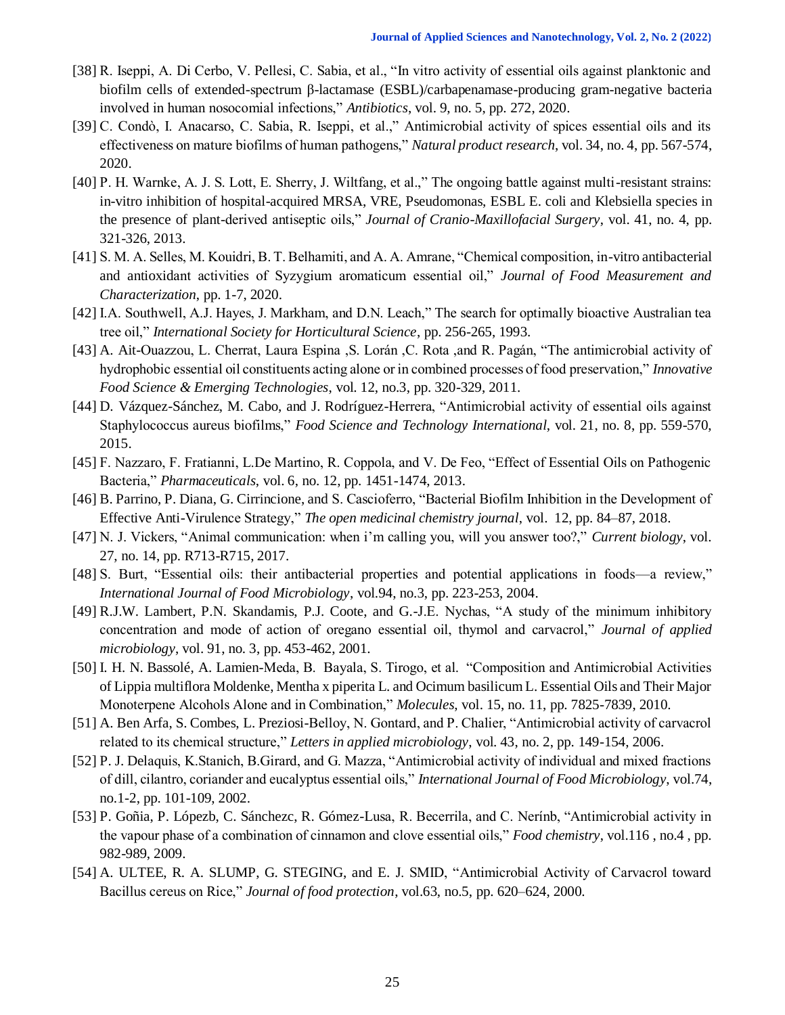- [38] R. Iseppi, A. Di Cerbo, V. Pellesi, C. Sabia, et al., "In vitro activity of essential oils against planktonic and biofilm cells of extended-spectrum β-lactamase (ESBL)/carbapenamase-producing gram-negative bacteria involved in human nosocomial infections," *Antibiotics*, vol. 9, no. 5, pp. 272, 2020.
- [39] C. Condò, I. Anacarso, C. Sabia, R. Iseppi, et al.," Antimicrobial activity of spices essential oils and its effectiveness on mature biofilms of human pathogens," *Natural product research*, vol. 34, no. 4, pp. 567-574, 2020.
- [40] P. H. Warnke, A. J. S. Lott, E. Sherry, J. Wiltfang, et al.," The ongoing battle against multi-resistant strains: in-vitro inhibition of hospital-acquired MRSA, VRE, Pseudomonas, ESBL E. coli and Klebsiella species in the presence of plant-derived antiseptic oils," *Journal of Cranio-Maxillofacial Surgery*, vol. 41, no. 4, pp. 321-326, 2013.
- [41] S. M. A. Selles, M. Kouidri, B. T. Belhamiti, and A. A. Amrane, "Chemical composition, in-vitro antibacterial and antioxidant activities of Syzygium aromaticum essential oil," *Journal of Food Measurement and Characterization*, pp. 1-7, 2020.
- [42] I.A. Southwell, A.J. Hayes, J. Markham, and D.N. Leach," The search for optimally bioactive Australian tea tree oil," *International Society for Horticultural Science*, pp. 256-265, 1993.
- [43] A. Ait-Ouazzou, L. Cherrat, Laura Espina ,S. Lorán ,C. Rota ,and R. Pagán, "The antimicrobial activity of hydrophobic essential oil constituents acting alone or in combined processes of food preservation," *Innovative Food Science & Emerging Technologies*, vol. 12, no.3, pp. 320-329, 2011.
- [44] D. Vázquez-Sánchez, M. Cabo, and J. Rodríguez-Herrera, "Antimicrobial activity of essential oils against Staphylococcus aureus biofilms," *Food Science and Technology International*, vol. 21, no. 8, pp. 559-570, 2015.
- [45] F. Nazzaro, F. Fratianni, L.De Martino, R. Coppola, and V. De Feo, "Effect of Essential Oils on Pathogenic Bacteria," *Pharmaceuticals*, vol. 6, no. 12, pp. 1451-1474, 2013.
- [46] B. Parrino, P. Diana, G. Cirrincione, and S. Cascioferro, "Bacterial Biofilm Inhibition in the Development of Effective Anti-Virulence Strategy," *The open medicinal chemistry journal*, vol. 12, pp. 84–87, 2018.
- [47] N. J. Vickers, "Animal communication: when i'm calling you, will you answer too?," *Current biology*, vol. 27, no. 14, pp. R713-R715, 2017.
- [48] S. Burt, "Essential oils: their antibacterial properties and potential applications in foods—a review," *International Journal of Food Microbiology*, vol.94, no.3, pp. 223-253, 2004.
- [49] R.J.W. Lambert, P.N. Skandamis, P.J. Coote, and G.-J.E. Nychas, "A study of the minimum inhibitory concentration and mode of action of oregano essential oil, thymol and carvacrol," *Journal of applied microbiology*, vol. 91, no. 3, pp. 453-462, 2001.
- [50] I. H. N. Bassolé, A. Lamien-Meda, B. Bayala, S. Tirogo, et al. "Composition and Antimicrobial Activities of Lippia multiflora Moldenke, Mentha x piperita L. and Ocimum basilicum L. Essential Oils and Their Major Monoterpene Alcohols Alone and in Combination," *Molecules*, vol. 15, no. 11, pp. 7825-7839, 2010.
- [51] A. Ben Arfa, S. Combes, L. Preziosi-Belloy, N. Gontard, and P. Chalier, "Antimicrobial activity of carvacrol related to its chemical structure," *Letters in applied microbiology*, vol. 43, no. 2, pp. 149-154, 2006.
- [52] P. J. Delaquis, K.Stanich, B.Girard, and G. Mazza, "Antimicrobial activity of individual and mixed fractions of dill, cilantro, coriander and eucalyptus essential oils," *International Journal of Food Microbiology*, vol.74, no.1-2, pp. 101-109, 2002.
- [53] P. Goñia, P. Lópezb, C. Sánchezc, R. Gómez-Lusa, R. Becerrila, and C. Nerínb, "Antimicrobial activity in the vapour phase of a combination of cinnamon and clove essential oils," *Food chemistry*, vol.116 , no.4 , pp. 982-989, 2009.
- [54] A. ULTEE, R. A. SLUMP, G. STEGING, and E. J. SMID, "Antimicrobial Activity of Carvacrol toward Bacillus cereus on Rice," *Journal of food protection*, vol.63, no.5, pp. 620–624, 2000.